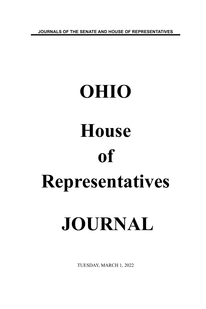**JOURNALS OF THE SENATE AND HOUSE OF REPRESENTATIVES**

# **OHIO House of Representatives JOURNAL**

TUESDAY, MARCH 1, 2022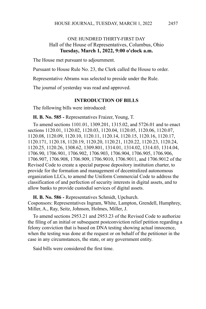# ONE HUNDRED THIRTY-FIRST DAY Hall of the House of Representatives, Columbus, Ohio **Tuesday, March 1, 2022, 9:00 o'clock a.m.**

The House met pursuant to adjournment.

Pursuant to House Rule No. 23, the Clerk called the House to order.

Representative Abrams was selected to preside under the Rule.

The journal of yesterday was read and approved.

#### **INTRODUCTION OF BILLS**

The following bills were introduced:

**H. B. No. 585 -** Representatives Fraizer, Young, T.

To amend sections 1101.01, 1309.201, 1315.02, and 5726.01 and to enact sections 1120.01, 1120.02, 1120.03, 1120.04, 1120.05, 1120.06, 1120.07, 1120.08, 1120.09, 1120.10, 1120.11, 1120.14, 1120.15, 1120.16, 1120.17, 1120.171, 1120.18, 1120.19, 1120.20, 1120.21, 1120.22, 1120.23, 1120.24, 1120.25, 1120.26, 1308.62, 1309.801, 1314.01, 1314.02, 1314.03, 1314.04, 1706.90, 1706.901, 1706.902, 1706.903, 1706.904, 1706.905, 1706.906, 1706.907, 1706.908, 1706.909, 1706.9010, 1706.9011, and 1706.9012 of the Revised Code to create a special purpose depository institution charter, to provide for the formation and management of decentralized autonomous organization LLCs, to amend the Uniform Commercial Code to address the classification of and perfection of security interests in digital assets, and to allow banks to provide custodial services of digital assets.

**H. B. No. 586 -** Representatives Schmidt, Upchurch.

Cosponsors: Representatives Ingram, White, Lampton, Grendell, Humphrey, Miller, A., Ray, Seitz, Johnson, Holmes, Miller, J.

To amend sections 2953.21 and 2953.23 of the Revised Code to authorize the filing of an initial or subsequent postconviction relief petition regarding a felony conviction that is based on DNA testing showing actual innocence, when the testing was done at the request or on behalf of the petitioner in the case in any circumstances, the state, or any government entity.

Said bills were considered the first time.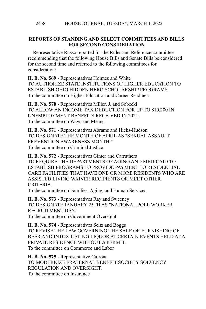# **REPORTS OF STANDING AND SELECT COMMITTEES AND BILLS FOR SECOND CONSIDERATION**

Representative Russo reported for the Rules and Reference committee recommending that the following House Bills and Senate Bills be considered for the second time and referred to the following committees for consideration:

**H. B. No. 569** - Representatives Holmes and White TO AUTHORIZE STATE INSTITUTIONS OF HIGHER EDUCATION TO ESTABLISH OHIO HIDDEN HERO SCHOLARSHIP PROGRAMS. To the committee on Higher Education and Career Readiness

**H. B. No. 570** - Representatives Miller, J. and Sobecki TO ALLOW AN INCOME TAX DEDUCTION FOR UP TO \$10,200 IN UNEMPLOYMENT BENEFITS RECEIVED IN 2021. To the committee on Ways and Means

**H. B. No. 571** - Representatives Abrams and Hicks-Hudson TO DESIGNATE THE MONTH OF APRIL AS "SEXUAL ASSAULT PREVENTION AWARENESS MONTH." To the committee on Criminal Justice

**H. B. No. 572** - Representatives Ginter and Carruthers TO REQUIRE THE DEPARTMENTS OF AGING AND MEDICAID TO ESTABLISH PROGRAMS TO PROVIDE PAYMENT TO RESIDENTIAL CARE FACILITIES THAT HAVE ONE OR MORE RESIDENTS WHO ARE ASSISTED LIVING WAIVER RECIPIENTS OR MEET OTHER **CRITERIA** 

To the committee on Families, Aging, and Human Services

**H. B. No. 573** - Representatives Ray and Sweeney TO DESIGNATE JANUARY 25TH AS "NATIONAL POLL WORKER RECRUITMENT DAY." To the committee on Government Oversight

**H. B. No. 574** - Representatives Seitz and Boggs TO REVISE THE LAW GOVERNING THE SALE OR FURNISHING OF BEER AND INTOXICATING LIQUOR AT CERTAIN EVENTS HELD AT A PRIVATE RESIDENCE WITHOUT A PERMIT. To the committee on Commerce and Labor

**H. B. No. 575** - Representative Cutrona TO MODERNIZE FRATERNAL BENEFIT SOCIETY SOLVENCY REGULATION AND OVERSIGHT. To the committee on Insurance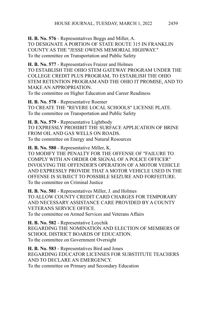**H. B. No. 576** - Representatives Boggs and Miller, A. TO DESIGNATE A PORTION OF STATE ROUTE 315 IN FRANKLIN COUNTY AS THE "JESSE OWENS MEMORIAL HIGHWAY." To the committee on Transportation and Public Safety

**H. B. No. 577** - Representatives Fraizer and Holmes TO ESTABLISH THE OHIO STEM GATEWAY PROGRAM UNDER THE COLLEGE CREDIT PLUS PROGRAM, TO ESTABLISH THE OHIO STEM RETENTION PROGRAM AND THE OHIO IT PROMISE, AND TO MAKE AN APPROPRIATION. To the committee on Higher Education and Career Readiness

**H. B. No. 578** - Representative Roemer TO CREATE THE "REVERE LOCAL SCHOOLS" LICENSE PLATE. To the committee on Transportation and Public Safety

**H. B. No. 579** - Representative Lightbody TO EXPRESSLY PROHIBIT THE SURFACE APPLICATION OF BRINE FROM OIL AND GAS WELLS ON ROADS. To the committee on Energy and Natural Resources

**H. B. No. 580** - Representative Miller, K. TO MODIFY THE PENALTY FOR THE OFFENSE OF "FAILURE TO COMPLY WITH AN ORDER OR SIGNAL OF A POLICE OFFICER" INVOLVING THE OFFENDER'S OPERATION OF A MOTOR VEHICLE AND EXPRESSLY PROVIDE THAT A MOTOR VEHICLE USED IN THE OFFENSE IS SUBJECT TO POSSIBLE SEIZURE AND FORFEITURE. To the committee on Criminal Justice

**H. B. No. 581** - Representatives Miller, J. and Holmes TO ALLOW COUNTY CREDIT CARD CHARGES FOR TEMPORARY AND NECESSARY ASSISTANCE CARE PROVIDED BY A COUNTY VETERANS SERVICE OFFICE. To the committee on Armed Services and Veterans Affairs

**H. B. No. 582** - Representative Loychik REGARDING THE NOMINATION AND ELECTION OF MEMBERS OF SCHOOL DISTRICT BOARDS OF EDUCATION. To the committee on Government Oversight

**H. B. No. 583** - Representatives Bird and Jones REGARDING EDUCATOR LICENSES FOR SUBSTITUTE TEACHERS AND TO DECLARE AN EMERGENCY. To the committee on Primary and Secondary Education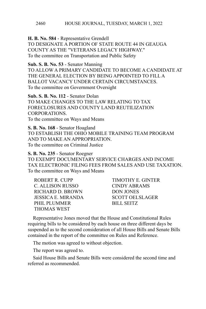**H. B. No. 584** - Representative Grendell TO DESIGNATE A PORTION OF STATE ROUTE 44 IN GEAUGA COUNTY AS THE "VETERANS LEGACY HIGHWAY." To the committee on Transportation and Public Safety

**Sub. S. B. No. 53** - Senator Manning TO ALLOW A PRIMARY CANDIDATE TO BECOME A CANDIDATE AT THE GENERAL ELECTION BY BEING APPOINTED TO FILL A BALLOT VACANCY UNDER CERTAIN CIRCUMSTANCES. To the committee on Government Oversight

**Sub. S. B. No. 112** - Senator Dolan TO MAKE CHANGES TO THE LAW RELATING TO TAX FORECLOSURES AND COUNTY LAND REUTILIZATION CORPORATIONS. To the committee on Ways and Means

**S. B. No. 168** - Senator Hoagland TO ESTABLISH THE OHIO MOBILE TRAINING TEAM PROGRAM AND TO MAKE AN APPROPRIATION. To the committee on Criminal Justice

**S. B. No. 235** - Senator Roegner

TO EXEMPT DOCUMENTARY SERVICE CHARGES AND INCOME TAX ELECTRONIC FILING FEES FROM SALES AND USE TAXATION. To the committee on Ways and Means

ROBERT R. CUPP TIMOTHY E. GINTER C. ALLISON RUSSO CINDY ABRAMS RICHARD D. BROWN DON JONES JESSICA E. MIRANDA SCOTT OELSLAGER PHIL PLUMMER
BILL SEITZ THOMAS WEST

Representative Jones moved that the House and Constitutional Rules requiring bills to be considered by each house on three different days be suspended as to the second consideration of all House Bills and Senate Bills contained in the report of the committee on Rules and Reference.

The motion was agreed to without objection.

The report was agreed to.

Said House Bills and Senate Bills were considered the second time and referred as recommended.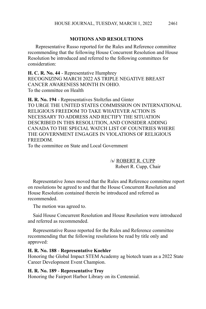# **MOTIONS AND RESOLUTIONS**

 Representative Russo reported for the Rules and Reference committee recommending that the following House Concurrent Resolution and House Resolution be introduced and referred to the following committees for consideration:

**H. C. R. No. 44** - Representative Humphrey RECOGNIZING MARCH 2022 AS TRIPLE NEGATIVE BREAST CANCER AWARENESS MONTH IN OHIO. To the committee on Health

**H. R. No. 194** - Representatives Stoltzfus and Ginter TO URGE THE UNITED STATES COMMISSION ON INTERNATIONAL RELIGIOUS FREEDOM TO TAKE WHATEVER ACTION IS NECESSARY TO ADDRESS AND RECTIFY THE SITUATION DESCRIBED IN THIS RESOLUTION, AND CONSIDER ADDING CANADA TO THE SPECIAL WATCH LIST OF COUNTRIES WHERE THE GOVERNMENT ENGAGES IN VIOLATIONS OF RELIGIOUS **FREEDOM** 

To the committee on State and Local Government

/s/ ROBERT R. CUPP Robert R. Cupp, Chair

Representative Jones moved that the Rules and Reference committee report on resolutions be agreed to and that the House Concurrent Resolution and House Resolution contained therein be introduced and referred as recommended.

The motion was agreed to.

Said House Concurrent Resolution and House Resolution were introduced and referred as recommended.

Representative Russo reported for the Rules and Reference committee recommending that the following resolutions be read by title only and approved:

#### **H. R. No. 188** - **Representative Koehler**

Honoring the Global Impact STEM Academy ag biotech team as a 2022 State Career Development Event Champion.

#### **H. R. No. 189** - **Representative Troy**

Honoring the Fairport Harbor Library on its Centennial.